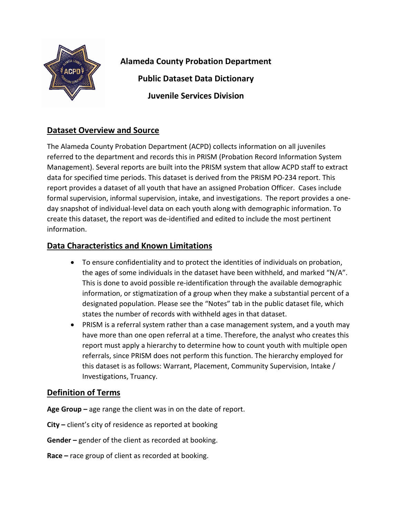

**Alameda County Probation Department Public Dataset Data Dictionary Juvenile Services Division**

## **Dataset Overview and Source**

The Alameda County Probation Department (ACPD) collects information on all juveniles referred to the department and records this in PRISM (Probation Record Information System Management). Several reports are built into the PRISM system that allow ACPD staff to extract data for specified time periods. This dataset is derived from the PRISM PO-234 report. This report provides a dataset of all youth that have an assigned Probation Officer. Cases include formal supervision, informal supervision, intake, and investigations. The report provides a oneday snapshot of individual-level data on each youth along with demographic information. To create this dataset, the report was de-identified and edited to include the most pertinent information.

## **Data Characteristics and Known Limitations**

- To ensure confidentiality and to protect the identities of individuals on probation, the ages of some individuals in the dataset have been withheld, and marked "N/A". This is done to avoid possible re-identification through the available demographic information, or stigmatization of a group when they make a substantial percent of a designated population. Please see the "Notes" tab in the public dataset file, which states the number of records with withheld ages in that dataset.
- PRISM is a referral system rather than a case management system, and a youth may have more than one open referral at a time. Therefore, the analyst who creates this report must apply a hierarchy to determine how to count youth with multiple open referrals, since PRISM does not perform this function. The hierarchy employed for this dataset is as follows: Warrant, Placement, Community Supervision, Intake / Investigations, Truancy.

## **Definition of Terms**

**Age Group –** age range the client was in on the date of report.

**City –** client's city of residence as reported at booking

**Gender –** gender of the client as recorded at booking.

**Race –** race group of client as recorded at booking.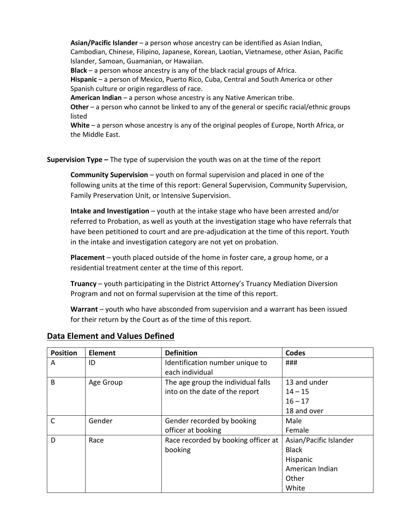**Asian/Pacific Islander** – a person whose ancestry can be identified as Asian Indian, Cambodian, Chinese, Filipino, Japanese, Korean, Laotian, Vietnamese, other Asian, Pacific Islander, Samoan, Guamanian, or Hawaiian.

**Black** – a person whose ancestry is any of the black racial groups of Africa.

**Hispanic** – a person of Mexico, Puerto Rico, Cuba, Central and South America or other Spanish culture or origin regardless of race.

**American Indian** – a person whose ancestry is any Native American tribe.

**Other** – a person who cannot be linked to any of the general or specific racial/ethnic groups listed

**White** – a person whose ancestry is any of the original peoples of Europe, North Africa, or the Middle East.

**Supervision Type –** The type of supervision the youth was on at the time of the report

**Community Supervision** – youth on formal supervision and placed in one of the following units at the time of this report: General Supervision, Community Supervision, Family Preservation Unit, or Intensive Supervision.

**Intake and Investigation** – youth at the intake stage who have been arrested and/or referred to Probation, as well as youth at the investigation stage who have referrals that have been petitioned to court and are pre-adjudication at the time of this report. Youth in the intake and investigation category are not yet on probation.

**Placement** – youth placed outside of the home in foster care, a group home, or a residential treatment center at the time of this report.

**Truancy** – youth participating in the District Attorney's Truancy Mediation Diversion Program and not on formal supervision at the time of this report.

**Warrant** – youth who have absconded from supervision and a warrant has been issued for their return by the Court as of the time of this report.

| <b>Position</b> | <b>Element</b> | <b>Definition</b>                                  | <b>Codes</b>           |
|-----------------|----------------|----------------------------------------------------|------------------------|
| A               | ID             | Identification number unique to<br>each individual | ###                    |
| B               | Age Group      | The age group the individual falls                 | 13 and under           |
|                 |                | into on the date of the report                     | $14 - 15$              |
|                 |                |                                                    | $16 - 17$              |
|                 |                |                                                    | 18 and over            |
| C               | Gender         | Gender recorded by booking                         | Male                   |
|                 |                | officer at booking                                 | Female                 |
| D               | Race           | Race recorded by booking officer at                | Asian/Pacific Islander |
|                 |                | booking                                            | <b>Black</b>           |
|                 |                |                                                    | Hispanic               |
|                 |                |                                                    | American Indian        |
|                 |                |                                                    | Other                  |
|                 |                |                                                    | White                  |

## **Data Element and Values Defined**